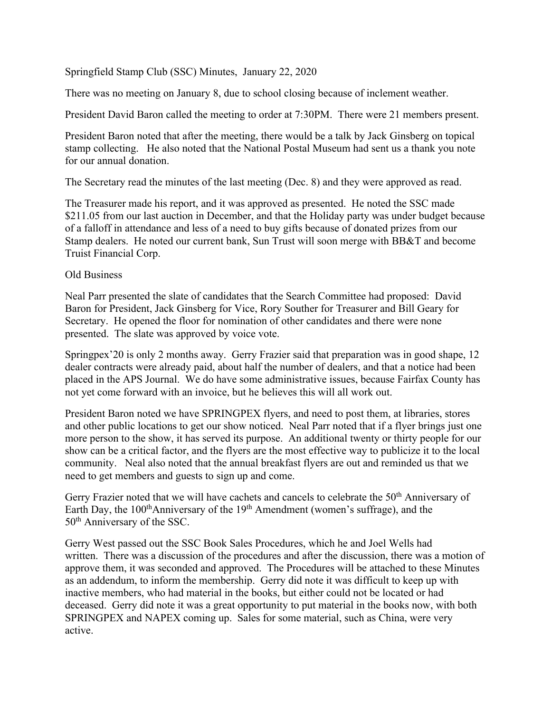Springfield Stamp Club (SSC) Minutes, January 22, 2020

There was no meeting on January 8, due to school closing because of inclement weather.

President David Baron called the meeting to order at 7:30PM. There were 21 members present.

President Baron noted that after the meeting, there would be a talk by Jack Ginsberg on topical stamp collecting. He also noted that the National Postal Museum had sent us a thank you note for our annual donation.

The Secretary read the minutes of the last meeting (Dec. 8) and they were approved as read.

The Treasurer made his report, and it was approved as presented. He noted the SSC made \$211.05 from our last auction in December, and that the Holiday party was under budget because of a falloff in attendance and less of a need to buy gifts because of donated prizes from our Stamp dealers. He noted our current bank, Sun Trust will soon merge with BB&T and become Truist Financial Corp.

## Old Business

Neal Parr presented the slate of candidates that the Search Committee had proposed: David Baron for President, Jack Ginsberg for Vice, Rory Souther for Treasurer and Bill Geary for Secretary. He opened the floor for nomination of other candidates and there were none presented. The slate was approved by voice vote.

Springpex'20 is only 2 months away. Gerry Frazier said that preparation was in good shape, 12 dealer contracts were already paid, about half the number of dealers, and that a notice had been placed in the APS Journal. We do have some administrative issues, because Fairfax County has not yet come forward with an invoice, but he believes this will all work out.

President Baron noted we have SPRINGPEX flyers, and need to post them, at libraries, stores and other public locations to get our show noticed. Neal Parr noted that if a flyer brings just one more person to the show, it has served its purpose. An additional twenty or thirty people for our show can be a critical factor, and the flyers are the most effective way to publicize it to the local community. Neal also noted that the annual breakfast flyers are out and reminded us that we need to get members and guests to sign up and come.

Gerry Frazier noted that we will have cachets and cancels to celebrate the 50<sup>th</sup> Anniversary of Earth Day, the  $100<sup>th</sup>$ Anniversary of the  $19<sup>th</sup>$  Amendment (women's suffrage), and the 50th Anniversary of the SSC.

Gerry West passed out the SSC Book Sales Procedures, which he and Joel Wells had written. There was a discussion of the procedures and after the discussion, there was a motion of approve them, it was seconded and approved. The Procedures will be attached to these Minutes as an addendum, to inform the membership. Gerry did note it was difficult to keep up with inactive members, who had material in the books, but either could not be located or had deceased. Gerry did note it was a great opportunity to put material in the books now, with both SPRINGPEX and NAPEX coming up. Sales for some material, such as China, were very active.